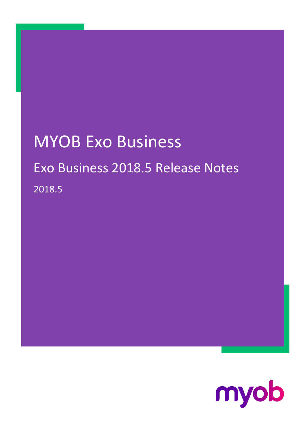# MYOB Exo Business Exo Business 2018.5 Release Notes 2018.5

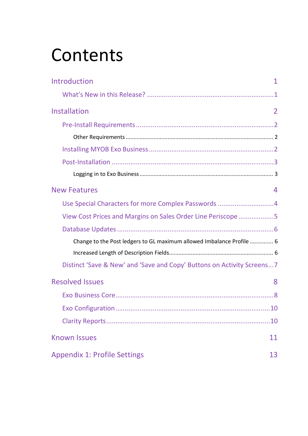# **Contents**

| Introduction<br>1                                                       |
|-------------------------------------------------------------------------|
|                                                                         |
| Installation<br>2                                                       |
|                                                                         |
|                                                                         |
|                                                                         |
|                                                                         |
|                                                                         |
| <b>New Features</b><br>4                                                |
| Use Special Characters for more Complex Passwords 4                     |
| View Cost Prices and Margins on Sales Order Line Periscope5             |
|                                                                         |
| Change to the Post ledgers to GL maximum allowed Imbalance Profile  6   |
|                                                                         |
| Distinct 'Save & New' and 'Save and Copy' Buttons on Activity Screens 7 |
| <b>Resolved Issues</b><br>8                                             |
|                                                                         |
|                                                                         |
|                                                                         |
| <b>Known Issues</b><br>11                                               |
| <b>Appendix 1: Profile Settings</b><br>13                               |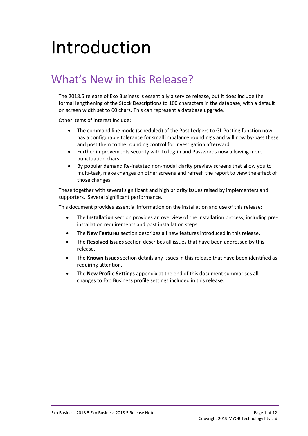# <span id="page-2-0"></span>Introduction

### <span id="page-2-1"></span>What's New in this Release?

The 2018.5 release of Exo Business is essentially a service release, but it does include the formal lengthening of the Stock Descriptions to 100 characters in the database, with a default on screen width set to 60 chars. This can represent a database upgrade.

Other items of interest include;

- The command line mode (scheduled) of the Post Ledgers to GL Posting function now has a configurable tolerance for small imbalance rounding's and will now by-pass these and post them to the rounding control for investigation afterward.
- Further improvements security with to log-in and Passwords now allowing more punctuation chars.
- By popular demand Re-instated non-modal clarity preview screens that allow you to multi-task, make changes on other screens and refresh the report to view the effect of those changes.

These together with several significant and high priority issues raised by implementers and supporters. Several significant performance.

This document provides essential information on the installation and use of this release:

- The **Installation** section provides an overview of the installation process, including preinstallation requirements and post installation steps.
- The **New Features** section describes all new features introduced in this release.
- The **Resolved Issues** section describes all issues that have been addressed by this release.
- The **Known Issues** section details any issues in this release that have been identified as requiring attention.
- The **New Profile Settings** appendix at the end of this document summarises all changes to Exo Business profile settings included in this release.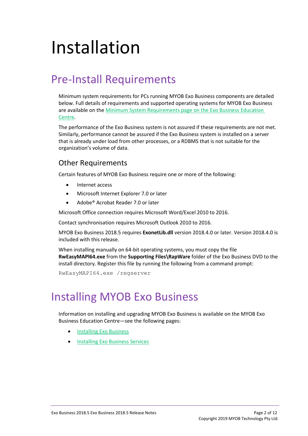# <span id="page-3-0"></span>Installation

### <span id="page-3-1"></span>Pre-Install Requirements

Minimum system requirements for PCs running MYOB Exo Business components are detailed below. Full details of requirements and supported operating systems for MYOB Exo Business are available on the [Minimum System Requirements page on the Exo Business Education](http://help.myob.com.au/exo/sysreqs.htm)  [Centre.](http://help.myob.com.au/exo/sysreqs.htm)

The performance of the Exo Business system is not assured if these requirements are not met. Similarly, performance cannot be assured if the Exo Business system is installed on a server that is already under load from other processes, or a RDBMS that is not suitable for the organization's volume of data.

### <span id="page-3-2"></span>Other Requirements

Certain features of MYOB Exo Business require one or more of the following:

- Internet access
- Microsoft Internet Explorer 7.0 or later
- Adobe® Acrobat Reader 7.0 or later

Microsoft Office connection requires Microsoft Word/Excel 2010 to 2016.

Contact synchronisation requires Microsoft Outlook 2010 to 2016.

MYOB Exo Business 2018.5 requires **ExonetLib.dll** version 2018.4.0 or later. Version 2018.4.0 is included with this release.

When installing manually on 64-bit operating systems, you must copy the file **RwEasyMAPI64.exe** from the **Supporting Files\RapWare** folder of the Exo Business DVD to the install directory. Register this file by running the following from a command prompt:

RwEasyMAPI64.exe /regserver

### <span id="page-3-3"></span>Installing MYOB Exo Business

Information on installing and upgrading MYOB Exo Business is available on the MYOB Exo Business Education Centre—see the following pages:

- **[Installing Exo Business](http://help.myob.com.au/exo/installexobusiness.htm)**
- **[Installing Exo Business Services](http://help.myob.com.au/exo/installexobusinessservices.htm)**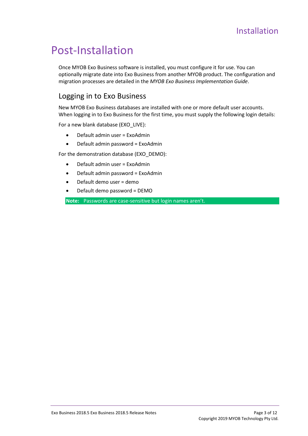### <span id="page-4-0"></span>Post-Installation

Once MYOB Exo Business software is installed, you must configure it for use. You can optionally migrate date into Exo Business from another MYOB product. The configuration and migration processes are detailed in the *MYOB Exo Business Implementation Guide*.

### <span id="page-4-1"></span>Logging in to Exo Business

New MYOB Exo Business databases are installed with one or more default user accounts. When logging in to Exo Business for the first time, you must supply the following login details:

For a new blank database (EXO\_LIVE):

- Default admin user = ExoAdmin
- Default admin password = ExoAdmin

For the demonstration database (EXO\_DEMO):

- Default admin user = ExoAdmin
- Default admin password = ExoAdmin
- Default demo user = demo
- Default demo password = DEMO

**Note:** Passwords are case-sensitive but login names aren't.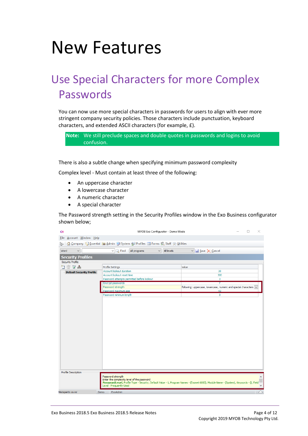## <span id="page-5-0"></span>New Features

## <span id="page-5-1"></span>Use Special Characters for more Complex Passwords

You can now use more special characters in passwords for users to align with ever more stringent company security policies. Those characters include punctuation, keyboard characters, and extended ASCII characters (for example, £).

**Note:** We still preclude spaces and double quotes in passwords and logins to avoid confusion.

There is also a subtle change when specifying minimum password complexity

Complex level - Must contain at least three of the following:

- An uppercase character
- A lowercase character
- A numeric character
- A special character

The Password strength setting in the Security Profiles window in the Exo Business configurator shown below;

| CX                                                                                                                                     | MYOB Exo Configurator - Demo Mode                     |                                                                   |  |  |  |  |  |
|----------------------------------------------------------------------------------------------------------------------------------------|-------------------------------------------------------|-------------------------------------------------------------------|--|--|--|--|--|
| File Account Window Help                                                                                                               |                                                       |                                                                   |  |  |  |  |  |
| Company W Essential B Admin 3 System of Profiles 3 Forms & Staff & Utilities<br>- ئ                                                    |                                                       |                                                                   |  |  |  |  |  |
| Word<br>$\checkmark$                                                                                                                   | $\vee$ Q Find<br>All levels<br>All programs<br>$\vee$ | $\vee$ $\blacksquare$ Save $\times$ Cancel                        |  |  |  |  |  |
| <b>Security Profiles</b>                                                                                                               |                                                       |                                                                   |  |  |  |  |  |
| Security Profile                                                                                                                       |                                                       |                                                                   |  |  |  |  |  |
| n g.l                                                                                                                                  | <b>Profile Settings</b>                               | Value                                                             |  |  |  |  |  |
| Default Security Profile                                                                                                               | Account lockout duration                              | 30                                                                |  |  |  |  |  |
|                                                                                                                                        | Account lockout reset time                            | 300                                                               |  |  |  |  |  |
|                                                                                                                                        | Password attempts permitted before lockout            | 3                                                                 |  |  |  |  |  |
|                                                                                                                                        | Encrypt passwords                                     |                                                                   |  |  |  |  |  |
|                                                                                                                                        | Password strength                                     | following: uppercase, lowercase, numeric and special characters v |  |  |  |  |  |
|                                                                                                                                        | Password maximum age                                  | 42                                                                |  |  |  |  |  |
|                                                                                                                                        | Password minimum length                               | 8                                                                 |  |  |  |  |  |
|                                                                                                                                        |                                                       |                                                                   |  |  |  |  |  |
|                                                                                                                                        |                                                       |                                                                   |  |  |  |  |  |
|                                                                                                                                        |                                                       |                                                                   |  |  |  |  |  |
|                                                                                                                                        |                                                       |                                                                   |  |  |  |  |  |
|                                                                                                                                        |                                                       |                                                                   |  |  |  |  |  |
|                                                                                                                                        |                                                       |                                                                   |  |  |  |  |  |
|                                                                                                                                        |                                                       |                                                                   |  |  |  |  |  |
|                                                                                                                                        |                                                       |                                                                   |  |  |  |  |  |
|                                                                                                                                        |                                                       |                                                                   |  |  |  |  |  |
|                                                                                                                                        |                                                       |                                                                   |  |  |  |  |  |
|                                                                                                                                        |                                                       |                                                                   |  |  |  |  |  |
|                                                                                                                                        |                                                       |                                                                   |  |  |  |  |  |
|                                                                                                                                        |                                                       |                                                                   |  |  |  |  |  |
|                                                                                                                                        |                                                       |                                                                   |  |  |  |  |  |
|                                                                                                                                        |                                                       |                                                                   |  |  |  |  |  |
|                                                                                                                                        |                                                       |                                                                   |  |  |  |  |  |
|                                                                                                                                        |                                                       |                                                                   |  |  |  |  |  |
| Profile Description                                                                                                                    |                                                       |                                                                   |  |  |  |  |  |
|                                                                                                                                        | Password strength                                     |                                                                   |  |  |  |  |  |
|                                                                                                                                        | Enter the complexity level of the password            |                                                                   |  |  |  |  |  |
| PasswordLevel, Profile Type - Security, Default Value - 1, Program Names - (Exonet 6000), Module Name - (System), Keywords - (), Field |                                                       |                                                                   |  |  |  |  |  |
|                                                                                                                                        | Level - Frequently Used                               |                                                                   |  |  |  |  |  |
| Motopartz.co.nz<br>Demo.                                                                                                               | <b>ExoAdmin</b>                                       |                                                                   |  |  |  |  |  |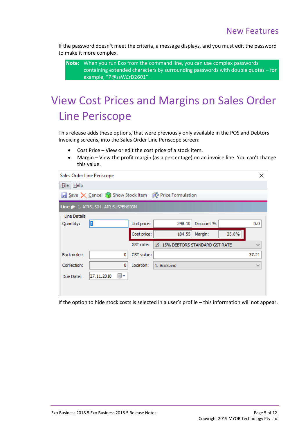If the password doesn't meet the criteria, a message displays, and you must edit the password to make it more complex.

**Note:** When you run Exo from the command line, you can use complex passwords containing extended characters by surrounding passwords with double quotes – for example, "P@ssW£rD2601".

## <span id="page-6-0"></span>View Cost Prices and Margins on Sales Order Line Periscope

This release adds these options, that were previously only available in the POS and Debtors Invoicing screens, into the Sales Order Line Periscope screen:

- Cost Price View or edit the cost price of a stock item.
- Margin View the profit margin (as a percentage) on an invoice line. You can't change this value.

| Sales Order Line Periscope |                                                         |             |                                   |            |       | ×            |
|----------------------------|---------------------------------------------------------|-------------|-----------------------------------|------------|-------|--------------|
| $File$ $Help$              |                                                         |             |                                   |            |       |              |
|                            | ■ Save X Cancel ● Show Stock Item   第 Price Formulation |             |                                   |            |       |              |
|                            | Line #: 1. AIRSUS01. AIR SUSPENSION                     |             |                                   |            |       |              |
| Line Details               |                                                         |             |                                   |            |       |              |
| Quantity:                  | $ 1\>$                                                  | Unit price: | 248.10                            | Discount % |       | 0.0          |
|                            |                                                         | Cost price: | 184.55                            | Margin:    | 25.6% |              |
|                            |                                                         | GST rate:   | 19. 15% DEBTORS STANDARD GST RATE |            |       | $\checkmark$ |
| <b>Back order:</b>         | 0                                                       | GST value:  |                                   |            |       | 37.21        |
| Correction:                | 0                                                       | Location:   | 1. Auckland                       |            |       | $\checkmark$ |
| Due Date:                  | 27.11.2018<br>■▼                                        |             |                                   |            |       |              |
|                            |                                                         |             |                                   |            |       |              |
|                            |                                                         |             |                                   |            |       |              |

If the option to hide stock costs is selected in a user's profile – this information will not appear.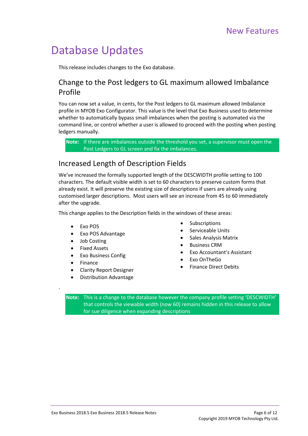### <span id="page-7-4"></span><span id="page-7-3"></span><span id="page-7-0"></span>Database Updates

This release includes changes to the Exo database.

### <span id="page-7-1"></span>Change to the Post ledgers to GL maximum allowed Imbalance Profile

You can now set a value, in cents, for the Post ledgers to GL maximum allowed Imbalance profile in MYOB Exo Configurator. This value is the level that Exo Business used to determine whether to automatically bypass small imbalances when the posting is automated via the command line, or control whether a user is allowed to proceed with the posting when posting ledgers manually.

**Note:** If there are imbalances outside the threshold you set, a supervisor must open the Post Ledgers to GL screen and fix the imbalances.

### <span id="page-7-2"></span>Increased Length of Description Fields

We've increased the formally supported length of the DESCWIDTH profile setting to 100 characters. The default visible width is set to 60 characters to preserve custom forms that already exist. It will preserve the existing size of descriptions if users are already using customised larger descriptions. Most users will see an increase from 45 to 60 immediately after the upgrade.

This change applies to the Description fields in the windows of these areas:

- Exo POS
- Exo POS Advantage
- Job Costing
- Fixed Assets
- Exo Business Config
- Finance

.

- Clarity Report Designer
- Distribution Advantage
- **Subscriptions**
- Serviceable Units
- Sales Analysis Matrix
- Business CRM
- Exo Accountant's Assistant
- Exo OnTheGo
- Finance Direct Debits

**Note:** This is a change to the database however the company profile setting 'DESCWIDTH' that controls the viewable width (now 60) remains hidden in this release to allow for sue diligence when expanding descriptions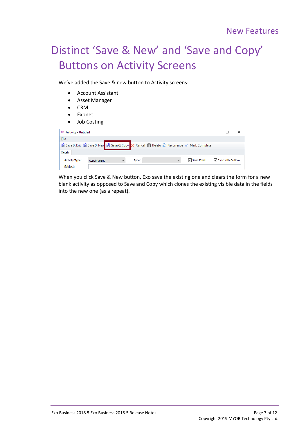## <span id="page-8-0"></span>Distinct 'Save & New' and 'Save and Copy' Buttons on Activity Screens

We've added the Save & new button to Activity screens:

- Account Assistant
- Asset Manager
- CRM
- Exonet
- Job Costing

| <b>EB</b> Activity - Untitled     |                                                                                          |                       |              |              |                     |  |
|-----------------------------------|------------------------------------------------------------------------------------------|-----------------------|--------------|--------------|---------------------|--|
| Eile                              |                                                                                          |                       |              |              |                     |  |
|                                   | A Save & Exit A Save & New A Save & Copy X Cancel na Delete a Recurrence √ Mark Complete |                       |              |              |                     |  |
| Details                           |                                                                                          |                       |              |              |                     |  |
| <b>Activity Type:</b><br>Subject: | Appointment                                                                              | Type:<br>$\checkmark$ | $\checkmark$ | √ Send Email | □ Sync with Outlook |  |

When you click Save & New button, Exo save the existing one and clears the form for a new blank activity as opposed to Save and Copy which clones the existing visible data in the fields into the new one (as a repeat).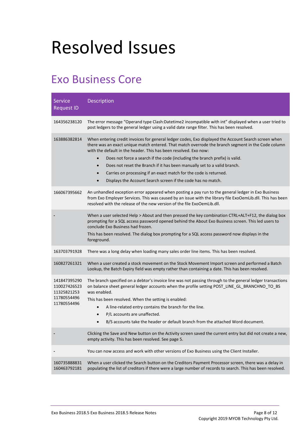# <span id="page-9-0"></span>Resolved Issues

### <span id="page-9-1"></span>Exo Business Core

| <b>Service</b><br><b>Request ID</b>                                       | Description                                                                                                                                                                                                                                                                                                                                                                                                                                                                                                                                                                    |
|---------------------------------------------------------------------------|--------------------------------------------------------------------------------------------------------------------------------------------------------------------------------------------------------------------------------------------------------------------------------------------------------------------------------------------------------------------------------------------------------------------------------------------------------------------------------------------------------------------------------------------------------------------------------|
| 164356238120                                                              | The error message "Operand type Clash:Datetime2 incompatible with int" displayed when a user tried to<br>post ledgers to the general ledger using a valid date range filter. This has been resolved.                                                                                                                                                                                                                                                                                                                                                                           |
| 163886382814                                                              | When entering credit invoices for general ledger codes, Exo displayed the Account Search screen when<br>there was an exact unique match entered. That match overrode the branch segment in the Code column<br>with the default in the header. This has been resolved. Exo now:<br>Does not force a search if the code (including the branch prefix) is valid.<br>Does not reset the Branch if it has been manually set to a valid branch.<br>Carries on processing if an exact match for the code is returned.<br>Displays the Account Search screen if the code has no match. |
| 166067395662                                                              | An unhandled exception error appeared when posting a pay run to the general ledger in Exo Business<br>from Exo Employer Services. This was caused by an issue with the library file ExoOemLib.dll. This has been<br>resolved with the release of the new version of the file ExoOemLib.dll.                                                                                                                                                                                                                                                                                    |
|                                                                           | When a user selected Help > About and then pressed the key combination CTRL+ALT+F12, the dialog box<br>prompting for a SQL access password opened behind the About Exo Business screen. This led users to<br>conclude Exo Business had frozen.<br>This has been resolved. The dialog box prompting for a SQL access password now displays in the<br>foreground.                                                                                                                                                                                                                |
| 163703791928                                                              | There was a long delay when loading many sales order line items. This has been resolved.                                                                                                                                                                                                                                                                                                                                                                                                                                                                                       |
| 160827261321                                                              | When a user created a stock movement on the Stock Movement Import screen and performed a Batch<br>Lookup, the Batch Expiry field was empty rather than containing a date. This has been resolved.                                                                                                                                                                                                                                                                                                                                                                              |
| 141847395290<br>110027426523<br>11325821253<br>11780554496<br>11780554496 | The branch specified on a debtor's invoice line was not passing through to the general ledger transactions<br>on balance sheet general ledger accounts when the profile setting POST_LINE_GL_BRANCHNO_TO_BS<br>was enabled.<br>This has been resolved. When the setting is enabled:<br>A line-related entry contains the branch for the line.<br>P/L accounts are unaffected.<br>B/S accounts take the header or default branch from the attached Word document.                                                                                                               |
|                                                                           | Clicking the Save and New button on the Activity screen saved the current entry but did not create a new,<br>empty activity. This has been resolved. See page 5.                                                                                                                                                                                                                                                                                                                                                                                                               |
|                                                                           | You can now access and work with other versions of Exo Business using the Client Installer.                                                                                                                                                                                                                                                                                                                                                                                                                                                                                    |
| 160735888831<br>160463792181                                              | When a user clicked the Search button on the Creditors Payment Processor screen, there was a delay in<br>populating the list of creditors if there were a large number of records to search. This has been resolved.                                                                                                                                                                                                                                                                                                                                                           |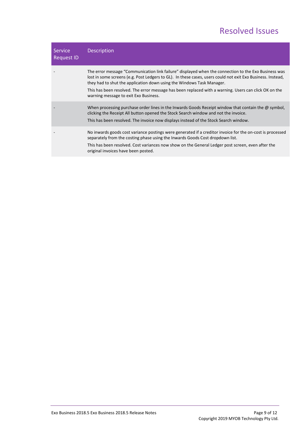### Resolved Issues

| <b>Service</b><br><b>Request ID</b> | <b>Description</b>                                                                                                                                                                                                                                                                                                                                                                                                                             |
|-------------------------------------|------------------------------------------------------------------------------------------------------------------------------------------------------------------------------------------------------------------------------------------------------------------------------------------------------------------------------------------------------------------------------------------------------------------------------------------------|
|                                     | The error message "Communication link failure" displayed when the connection to the Exo Business was<br>lost in some screens (e.g. Post Ledgers to GL). In these cases, users could not exit Exo Business. Instead,<br>they had to shut the application down using the Windows Task Manager.<br>This has been resolved. The error message has been replaced with a warning. Users can click OK on the<br>warning message to exit Exo Business. |
|                                     | When processing purchase order lines in the Inwards Goods Receipt window that contain the $\omega$ symbol,<br>clicking the Receipt All button opened the Stock Search window and not the invoice.<br>This has been resolved. The invoice now displays instead of the Stock Search window.                                                                                                                                                      |
|                                     | No inwards goods cost variance postings were generated if a creditor invoice for the on-cost is processed<br>separately from the costing phase using the Inwards Goods Cost dropdown list.<br>This has been resolved. Cost variances now show on the General Ledger post screen, even after the<br>original invoices have been posted.                                                                                                         |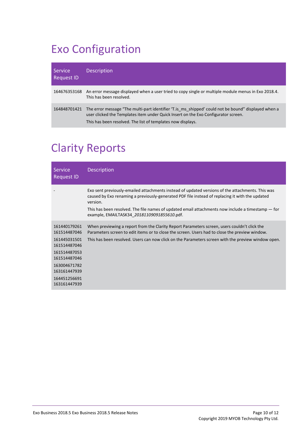## <span id="page-11-0"></span>Exo Configuration

| Service<br><b>Request ID</b> | <b>Description</b>                                                                                                                                                                                                                                        |
|------------------------------|-----------------------------------------------------------------------------------------------------------------------------------------------------------------------------------------------------------------------------------------------------------|
| 164676353168                 | An error message displayed when a user tried to copy single or multiple module menus in Exo 2018.4.<br>This has been resolved.                                                                                                                            |
| 164848701421                 | The error message "The multi-part identifier 'T. is ms shipped' could not be bound" displayed when a<br>user clicked the Templates item under Quick Insert on the Exo Configurator screen.<br>This has been resolved. The list of templates now displays. |

## <span id="page-11-1"></span>Clarity Reports

| <b>Service</b><br><b>Request ID</b>                                                                                                                          | <b>Description</b>                                                                                                                                                                                                                                                                                                                                                    |
|--------------------------------------------------------------------------------------------------------------------------------------------------------------|-----------------------------------------------------------------------------------------------------------------------------------------------------------------------------------------------------------------------------------------------------------------------------------------------------------------------------------------------------------------------|
|                                                                                                                                                              | Exo sent previously-emailed attachments instead of updated versions of the attachments. This was<br>caused by Exo renaming a previously-generated PDF file instead of replacing it with the updated<br>version.<br>This has been resolved. The file names of updated email attachments now include a timestamp $-$ for<br>example, EMAILTASK34 20181109091855610.pdf. |
| 161440179261<br>161514487046<br>161445031501<br>161514487046<br>161514487053<br>161514487046<br>163004671782<br>163161447939<br>164451256691<br>163161447939 | When previewing a report from the Clarity Report Parameters screen, users couldn't click the<br>Parameters screen to edit items or to close the screen. Users had to close the preview window.<br>This has been resolved. Users can now click on the Parameters screen with the preview window open.                                                                  |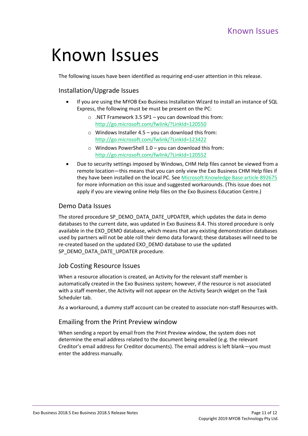## <span id="page-12-0"></span>Known Issues

The following issues have been identified as requiring end-user attention in this release.

#### Installation/Upgrade Issues

- If you are using the MYOB Exo Business Installation Wizard to install an instance of SQL Express, the following must be must be present on the PC:
	- $\circ$  .NET Framework 3.5 SP1 you can download this from: <http://go.microsoft.com/fwlink/?LinkId=120550>
	- $\circ$  Windows Installer 4.5 you can download this from: <http://go.microsoft.com/fwlink/?LinkId=123422>
	- $\circ$  Windows PowerShell 1.0 you can download this from: <http://go.microsoft.com/fwlink/?LinkId=120552>
- Due to security settings imposed by Windows, CHM Help files cannot be viewed from a remote location—this means that you can only view the Exo Business CHM Help files if they have been installed on the local PC. Se[e Microsoft Knowledge Base article 892675](http://support.microsoft.com/kb/892675/) for more information on this issue and suggested workarounds. (This issue does not apply if you are viewing online Help files on the Exo Business Education Centre.)

#### Demo Data Issues

The stored procedure SP\_DEMO\_DATA\_DATE\_UPDATER, which updates the data in demo databases to the current date, was updated in Exo Business 8.4. This stored procedure is only available in the EXO\_DEMO database, which means that any existing demonstration databases used by partners will not be able roll their demo data forward; these databases will need to be re-created based on the updated EXO\_DEMO database to use the updated SP\_DEMO\_DATA\_DATE\_UPDATER procedure.

#### Job Costing Resource Issues

When a resource allocation is created, an Activity for the relevant staff member is automatically created in the Exo Business system; however, if the resource is not associated with a staff member, the Activity will not appear on the Activity Search widget on the Task Scheduler tab.

As a workaround, a dummy staff account can be created to associate non-staff Resources with.

#### Emailing from the Print Preview window

When sending a report by email from the Print Preview window, the system does not determine the email address related to the document being emailed (e.g. the relevant Creditor's email address for Creditor documents). The email address is left blank—you must enter the address manually.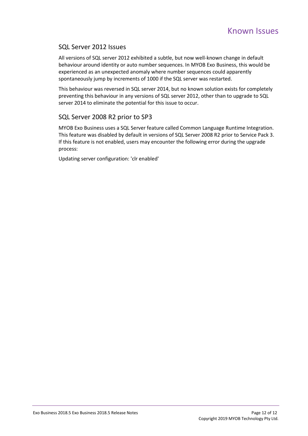#### SQL Server 2012 Issues

All versions of SQL server 2012 exhibited a subtle, but now well-known change in default behaviour around identity or auto number sequences. In MYOB Exo Business, this would be experienced as an unexpected anomaly where number sequences could apparently spontaneously jump by increments of 1000 if the SQL server was restarted.

This behaviour was reversed in SQL server 2014, but no known solution exists for completely preventing this behaviour in any versions of SQL server 2012, other than to upgrade to SQL server 2014 to eliminate the potential for this issue to occur.

#### SQL Server 2008 R2 prior to SP3

MYOB Exo Business uses a SQL Server feature called Common Language Runtime Integration. This feature was disabled by default in versions of SQL Server 2008 R2 prior to Service Pack 3. If this feature is not enabled, users may encounter the following error during the upgrade process:

Updating server configuration: 'clr enabled'